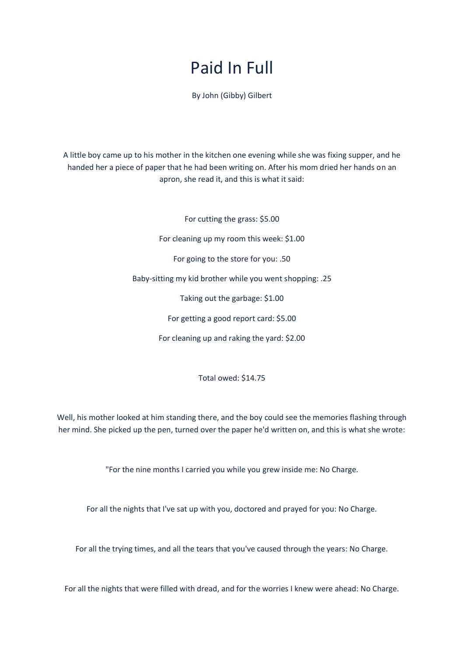## Paid In Full

By John (Gibby) Gilbert

A little boy came up to his mother in the kitchen one evening while she was fixing supper, and he handed her a piece of paper that he had been writing on. After his mom dried her hands on an apron, she read it, and this is what it said:

> For cutting the grass: \$5.00 For cleaning up my room this week: \$1.00 For going to the store for you: .50 Baby-sitting my kid brother while you went shopping: .25 Taking out the garbage: \$1.00 For getting a good report card: \$5.00 For cleaning up and raking the yard: \$2.00

> > Total owed: \$14.75

Well, his mother looked at him standing there, and the boy could see the memories flashing through her mind. She picked up the pen, turned over the paper he'd written on, and this is what she wrote:

"For the nine months I carried you while you grew inside me: No Charge.

For all the nights that I've sat up with you, doctored and prayed for you: No Charge.

For all the trying times, and all the tears that you've caused through the years: No Charge.

For all the nights that were filled with dread, and for the worries I knew were ahead: No Charge.